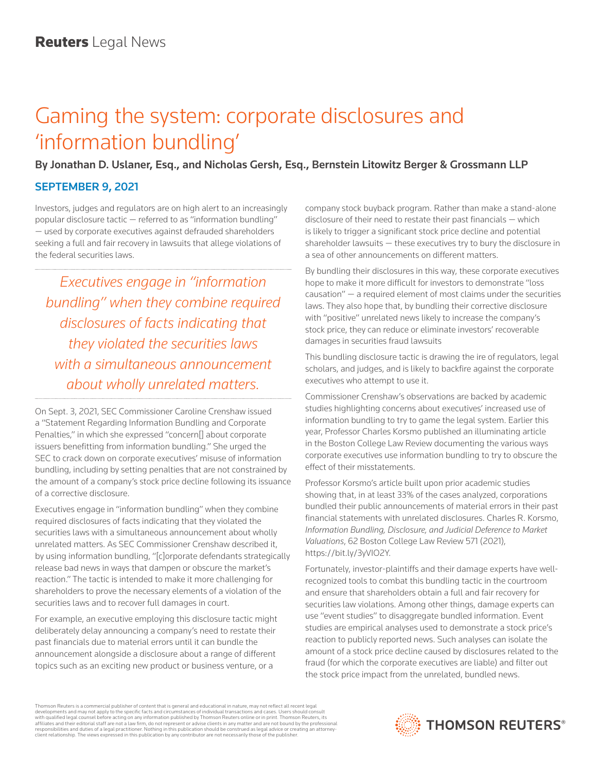## Gaming the system: corporate disclosures and 'information bundling'

By Jonathan D. Uslaner, Esq., and Nicholas Gersh, Esq., Bernstein Litowitz Berger & Grossmann LLP

## SEPTEMBER 9, 2021

Investors, judges and regulators are on high alert to an increasingly popular disclosure tactic — referred to as "information bundling" — used by corporate executives against defrauded shareholders seeking a full and fair recovery in lawsuits that allege violations of the federal securities laws.

*Executives engage in "information bundling" when they combine required disclosures of facts indicating that they violated the securities laws with a simultaneous announcement about wholly unrelated matters.*

On Sept. 3, 2021, SEC Commissioner Caroline Crenshaw issued a "Statement Regarding Information Bundling and Corporate Penalties," in which she expressed "concern[] about corporate issuers benefitting from information bundling." She urged the SEC to crack down on corporate executives' misuse of information bundling, including by setting penalties that are not constrained by the amount of a company's stock price decline following its issuance of a corrective disclosure.

Executives engage in "information bundling" when they combine required disclosures of facts indicating that they violated the securities laws with a simultaneous announcement about wholly unrelated matters. As SEC Commissioner Crenshaw described it, by using information bundling, "[c]orporate defendants strategically release bad news in ways that dampen or obscure the market's reaction." The tactic is intended to make it more challenging for shareholders to prove the necessary elements of a violation of the securities laws and to recover full damages in court.

For example, an executive employing this disclosure tactic might deliberately delay announcing a company's need to restate their past financials due to material errors until it can bundle the announcement alongside a disclosure about a range of different topics such as an exciting new product or business venture, or a

company stock buyback program. Rather than make a stand-alone disclosure of their need to restate their past financials — which is likely to trigger a significant stock price decline and potential shareholder lawsuits — these executives try to bury the disclosure in a sea of other announcements on different matters.

By bundling their disclosures in this way, these corporate executives hope to make it more difficult for investors to demonstrate "loss causation" — a required element of most claims under the securities laws. They also hope that, by bundling their corrective disclosure with "positive" unrelated news likely to increase the company's stock price, they can reduce or eliminate investors' recoverable damages in securities fraud lawsuits

This bundling disclosure tactic is drawing the ire of regulators, legal scholars, and judges, and is likely to backfire against the corporate executives who attempt to use it.

Commissioner Crenshaw's observations are backed by academic studies highlighting concerns about executives' increased use of information bundling to try to game the legal system. Earlier this year, Professor Charles Korsmo published an illuminating article in the Boston College Law Review documenting the various ways corporate executives use information bundling to try to obscure the effect of their misstatements.

Professor Korsmo's article built upon prior academic studies showing that, in at least 33% of the cases analyzed, corporations bundled their public announcements of material errors in their past financial statements with unrelated disclosures. Charles R. Korsmo, *Information Bundling, Disclosure, and Judicial Deference to Market Valuations*, 62 Boston College Law Review 571 (2021), https://bit.ly/3yVIO2Y.

Fortunately, investor-plaintiffs and their damage experts have wellrecognized tools to combat this bundling tactic in the courtroom and ensure that shareholders obtain a full and fair recovery for securities law violations. Among other things, damage experts can use "event studies" to disaggregate bundled information. Event studies are empirical analyses used to demonstrate a stock price's reaction to publicly reported news. Such analyses can isolate the amount of a stock price decline caused by disclosures related to the fraud (for which the corporate executives are liable) and filter out the stock price impact from the unrelated, bundled news.

Thomson Reuters is a commercial publisher of content that is general and educational in nature, may not reflect all recent legal developments and may not apply to the specific facts and circumstances of individual transactions and cases. Users should consult<br>with qualified legal counsel before acting on any information published by Thomson Reuters o responsibilities and duties of a legal practitioner. Nothing in this publication should be construed as legal advice or creating an attorneyclient relationship. The views expressed in this publication by any contributor are not necessarily those of the publisher.